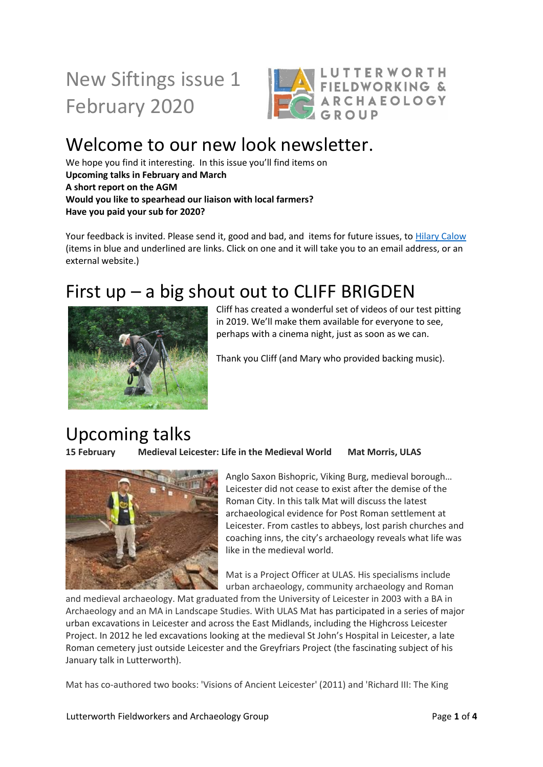# New Siftings issue 1 February 2020



## Welcome to our new look newsletter.

We hope you find it interesting. In this issue you'll find items on **Upcoming talks in February and March A short report on the AGM Would you like to spearhead our liaison with local farmers? Have you paid your sub for 2020?** 

Your feedback is invited. Please send it, good and bad, and items for future issues, to [Hilary Calow](mailto:calow888@gmail.com) (items in blue and underlined are links. Click on one and it will take you to an email address, or an external website.)

### First  $up - a$  big shout out to CLIFF BRIGDEN



Cliff has created a wonderful set of videos of our test pitting in 2019. We'll make them available for everyone to see, perhaps with a cinema night, just as soon as we can.

Thank you Cliff (and Mary who provided backing music).

### Upcoming talks

**15 February Medieval Leicester: Life in the Medieval World Mat Morris, ULAS**



Anglo Saxon Bishopric, Viking Burg, medieval borough… Leicester did not cease to exist after the demise of the Roman City. In this talk Mat will discuss the latest archaeological evidence for Post Roman settlement at Leicester. From castles to abbeys, lost parish churches and coaching inns, the city's archaeology reveals what life was like in the medieval world.

Mat is a Project Officer at ULAS. His specialisms include urban archaeology, community archaeology and Roman

and medieval archaeology. Mat graduated from the University of Leicester in 2003 with a BA in Archaeology and an MA in Landscape Studies. With ULAS Mat has participated in a series of major urban excavations in Leicester and across the East Midlands, including the Highcross Leicester Project. In 2012 he led excavations looking at the medieval St John's Hospital in Leicester, a late Roman cemetery just outside Leicester and the Greyfriars Project (the fascinating subject of his January talk in Lutterworth).

Mat has co-authored two books: 'Visions of Ancient Leicester' (2011) and 'Richard III: The King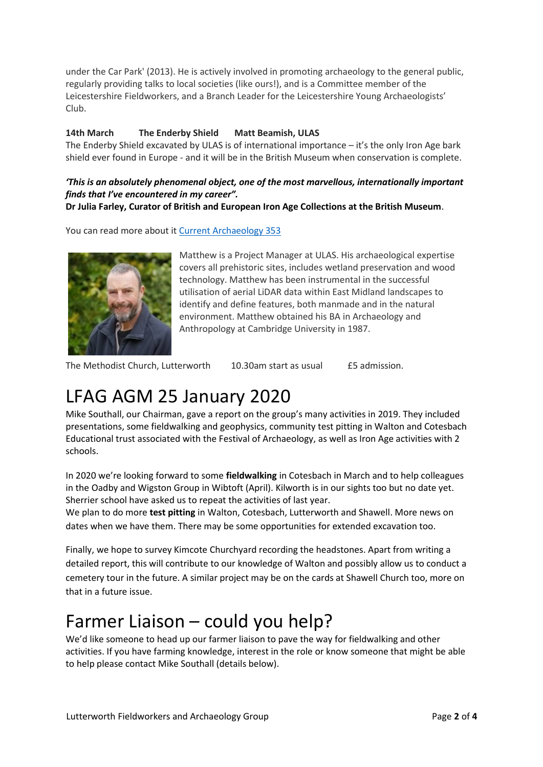under the Car Park' (2013). He is actively involved in promoting archaeology to the general public, regularly providing talks to local societies (like ours!), and is a Committee member of the Leicestershire Fieldworkers, and a Branch Leader for the Leicestershire Young Archaeologists' Club.

#### **14th March The Enderby Shield Matt Beamish, ULAS**

The Enderby Shield excavated by ULAS is of international importance – it's the only Iron Age bark shield ever found in Europe - and it will be in the British Museum when conservation is complete.

#### *'This is an absolutely phenomenal object, one of the most marvellous, internationally important finds that I've encountered in my career".*

**Dr Julia Farley, Curator of British and European Iron Age Collections at the British Museum**.

You can read more about it [Current Archaeology 353](https://www.archaeology.co.uk/articles/unique-iron-age-bark-shield-found-in-leicestershire.htm)



Matthew is a Project Manager at ULAS. His archaeological expertise covers all prehistoric sites, includes wetland preservation and wood technology. Matthew has been instrumental in the successful utilisation of aerial LiDAR data within East Midland landscapes to identify and define features, both manmade and in the natural environment. Matthew obtained his BA in Archaeology and Anthropology at Cambridge University in 1987.

The Methodist Church, Lutterworth 10.30am start as usual £5 admission.

### LFAG AGM 25 January 2020

Mike Southall, our Chairman, gave a report on the group's many activities in 2019. They included presentations, some fieldwalking and geophysics, community test pitting in Walton and Cotesbach Educational trust associated with the Festival of Archaeology, as well as Iron Age activities with 2 schools.

In 2020 we're looking forward to some **fieldwalking** in Cotesbach in March and to help colleagues in the Oadby and Wigston Group in Wibtoft (April). Kilworth is in our sights too but no date yet. Sherrier school have asked us to repeat the activities of last year.

We plan to do more **test pitting** in Walton, Cotesbach, Lutterworth and Shawell. More news on dates when we have them. There may be some opportunities for extended excavation too.

Finally, we hope to survey Kimcote Churchyard recording the headstones. Apart from writing a detailed report, this will contribute to our knowledge of Walton and possibly allow us to conduct a cemetery tour in the future. A similar project may be on the cards at Shawell Church too, more on that in a future issue.

#### Farmer Liaison – could you help?

We'd like someone to head up our farmer liaison to pave the way for fieldwalking and other activities. If you have farming knowledge, interest in the role or know someone that might be able to help please contact Mike Southall (details below).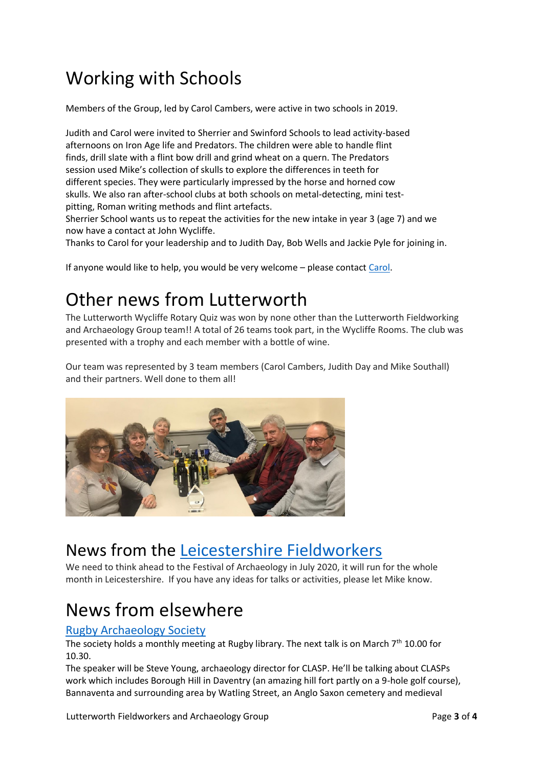# Working with Schools

Members of the Group, led by Carol Cambers, were active in two schools in 2019.

Judith and Carol were invited to Sherrier and Swinford Schools to lead activity-based afternoons on Iron Age life and Predators. The children were able to handle flint finds, drill slate with a flint bow drill and grind wheat on a quern. The Predators session used Mike's collection of skulls to explore the differences in teeth for different species. They were particularly impressed by the horse and horned cow skulls. We also ran after-school clubs at both schools on metal-detecting, mini testpitting, Roman writing methods and flint artefacts.

Sherrier School wants us to repeat the activities for the new intake in year 3 (age 7) and we now have a contact at John Wycliffe.

Thanks to Carol for your leadership and to Judith Day, Bob Wells and Jackie Pyle for joining in.

If anyone would like to help, you would be very welcome – please contact [Carol.](mailto:carolcam47@btinternet.com)

### Other news from Lutterworth

The Lutterworth Wycliffe Rotary Quiz was won by none other than the Lutterworth Fieldworking and Archaeology Group team!! A total of 26 teams took part, in the Wycliffe Rooms. The club was presented with a trophy and each member with a bottle of wine.

Our team was represented by 3 team members (Carol Cambers, Judith Day and Mike Southall) and their partners. Well done to them all!



#### News from the [Leicestershire Fieldworkers](https://leicsfieldworkers.co.uk/)

We need to think ahead to the Festival of Archaeology in July 2020, it will run for the whole month in Leicestershire. If you have any ideas for talks or activities, please let Mike know.

### News from elsewhere

#### [Rugby Archaeology Society](http://www.rugbyarchaeology.org.uk/)

The society holds a monthly meeting at Rugby library. The next talk is on March 7<sup>th</sup> 10.00 for 10.30.

The speaker will be Steve Young, archaeology director for CLASP. He'll be talking about CLASPs work which includes Borough Hill in Daventry (an amazing hill fort partly on a 9-hole golf course), Bannaventa and surrounding area by Watling Street, an Anglo Saxon cemetery and medieval